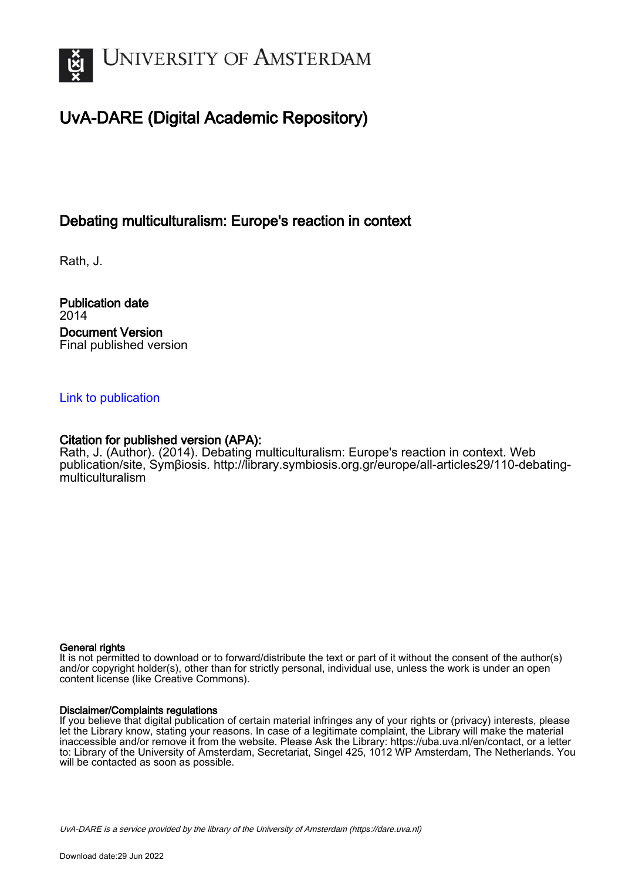

# UvA-DARE (Digital Academic Repository)

## Debating multiculturalism: Europe's reaction in context

Rath, J.

Publication date 2014 Document Version Final published version

### [Link to publication](https://dare.uva.nl/personal/pure/en/publications/debating-multiculturalism-europes-reaction-in-context(c1e63d9e-62d6-4e4f-a863-334d1e285451).html)

### Citation for published version (APA):

Rath, J. (Author). (2014). Debating multiculturalism: Europe's reaction in context. Web publication/site, Symβiosis. [http://library.symbiosis.org.gr/europe/all-articles29/110-debating](http://library.symbiosis.org.gr/europe/all-articles29/110-debating-multiculturalism)[multiculturalism](http://library.symbiosis.org.gr/europe/all-articles29/110-debating-multiculturalism)

#### General rights

It is not permitted to download or to forward/distribute the text or part of it without the consent of the author(s) and/or copyright holder(s), other than for strictly personal, individual use, unless the work is under an open content license (like Creative Commons).

#### Disclaimer/Complaints regulations

If you believe that digital publication of certain material infringes any of your rights or (privacy) interests, please let the Library know, stating your reasons. In case of a legitimate complaint, the Library will make the material inaccessible and/or remove it from the website. Please Ask the Library: https://uba.uva.nl/en/contact, or a letter to: Library of the University of Amsterdam, Secretariat, Singel 425, 1012 WP Amsterdam, The Netherlands. You will be contacted as soon as possible.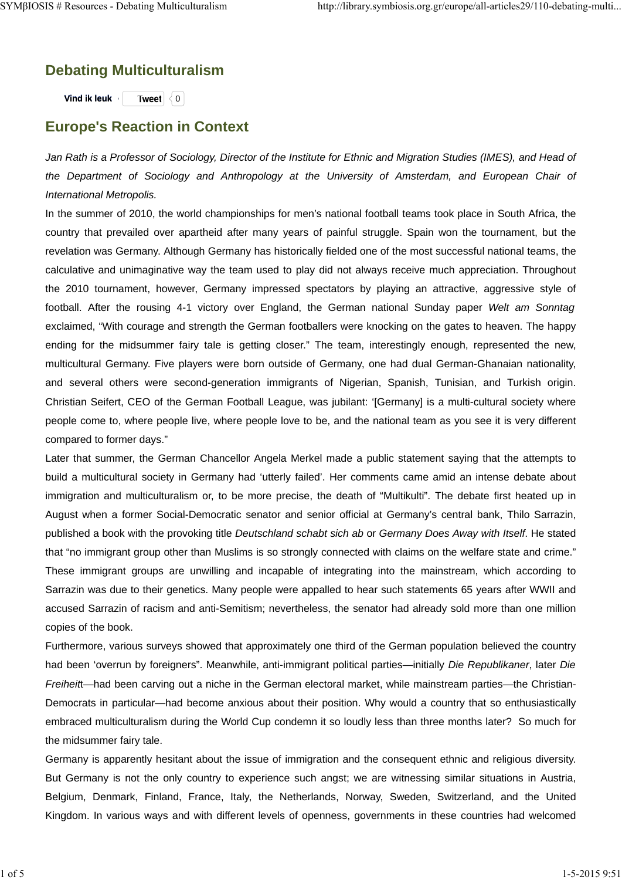## **Debating Multiculturalism**

**Vind ik leuk Tweet**  $\{0\}$ 

## **Europe's Reaction in Context**

*Jan Rath is a Professor of Sociology, Director of the Institute for Ethnic and Migration Studies (IMES), and Head of the Department of Sociology and Anthropology at the University of Amsterdam, and European Chair of International Metropolis.*

In the summer of 2010, the world championships for men's national football teams took place in South Africa, the country that prevailed over apartheid after many years of painful struggle. Spain won the tournament, but the revelation was Germany. Although Germany has historically fielded one of the most successful national teams, the calculative and unimaginative way the team used to play did not always receive much appreciation. Throughout the 2010 tournament, however, Germany impressed spectators by playing an attractive, aggressive style of football. After the rousing 4-1 victory over England, the German national Sunday paper *Welt am Sonntag* exclaimed, "With courage and strength the German footballers were knocking on the gates to heaven. The happy ending for the midsummer fairy tale is getting closer." The team, interestingly enough, represented the new, multicultural Germany. Five players were born outside of Germany, one had dual German-Ghanaian nationality, and several others were second-generation immigrants of Nigerian, Spanish, Tunisian, and Turkish origin. Christian Seifert, CEO of the German Football League, was jubilant: '[Germany] is a multi-cultural society where people come to, where people live, where people love to be, and the national team as you see it is very different compared to former days."

Later that summer, the German Chancellor Angela Merkel made a public statement saying that the attempts to build a multicultural society in Germany had 'utterly failed'. Her comments came amid an intense debate about immigration and multiculturalism or, to be more precise, the death of "Multikulti". The debate first heated up in August when a former Social-Democratic senator and senior official at Germany's central bank, Thilo Sarrazin, published a book with the provoking title *Deutschland schabt sich ab* or *Germany Does Away with Itself*. He stated that "no immigrant group other than Muslims is so strongly connected with claims on the welfare state and crime." These immigrant groups are unwilling and incapable of integrating into the mainstream, which according to Sarrazin was due to their genetics. Many people were appalled to hear such statements 65 years after WWII and accused Sarrazin of racism and anti-Semitism; nevertheless, the senator had already sold more than one million copies of the book.

Furthermore, various surveys showed that approximately one third of the German population believed the country had been 'overrun by foreigners". Meanwhile, anti-immigrant political parties—initially *Die Republikaner*, later *Die Freiheit*t—had been carving out a niche in the German electoral market, while mainstream parties—the Christian-Democrats in particular—had become anxious about their position. Why would a country that so enthusiastically embraced multiculturalism during the World Cup condemn it so loudly less than three months later? So much for the midsummer fairy tale.

Germany is apparently hesitant about the issue of immigration and the consequent ethnic and religious diversity. But Germany is not the only country to experience such angst; we are witnessing similar situations in Austria, Belgium, Denmark, Finland, France, Italy, the Netherlands, Norway, Sweden, Switzerland, and the United Kingdom. In various ways and with different levels of openness, governments in these countries had welcomed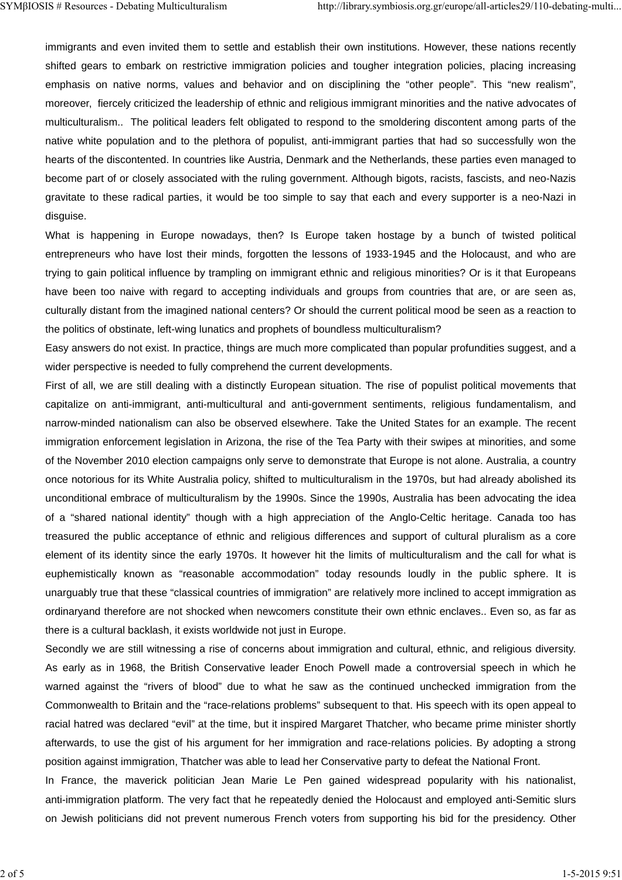immigrants and even invited them to settle and establish their own institutions. However, these nations recently shifted gears to embark on restrictive immigration policies and tougher integration policies, placing increasing emphasis on native norms, values and behavior and on disciplining the "other people". This "new realism", moreover, fiercely criticized the leadership of ethnic and religious immigrant minorities and the native advocates of multiculturalism.. The political leaders felt obligated to respond to the smoldering discontent among parts of the native white population and to the plethora of populist, anti-immigrant parties that had so successfully won the hearts of the discontented. In countries like Austria, Denmark and the Netherlands, these parties even managed to become part of or closely associated with the ruling government. Although bigots, racists, fascists, and neo-Nazis gravitate to these radical parties, it would be too simple to say that each and every supporter is a neo-Nazi in disguise.

What is happening in Europe nowadays, then? Is Europe taken hostage by a bunch of twisted political entrepreneurs who have lost their minds, forgotten the lessons of 1933-1945 and the Holocaust, and who are trying to gain political influence by trampling on immigrant ethnic and religious minorities? Or is it that Europeans have been too naive with regard to accepting individuals and groups from countries that are, or are seen as, culturally distant from the imagined national centers? Or should the current political mood be seen as a reaction to the politics of obstinate, left-wing lunatics and prophets of boundless multiculturalism?

Easy answers do not exist. In practice, things are much more complicated than popular profundities suggest, and a wider perspective is needed to fully comprehend the current developments.

First of all, we are still dealing with a distinctly European situation. The rise of populist political movements that capitalize on anti-immigrant, anti-multicultural and anti-government sentiments, religious fundamentalism, and narrow-minded nationalism can also be observed elsewhere. Take the United States for an example. The recent immigration enforcement legislation in Arizona, the rise of the Tea Party with their swipes at minorities, and some of the November 2010 election campaigns only serve to demonstrate that Europe is not alone. Australia, a country once notorious for its White Australia policy, shifted to multiculturalism in the 1970s, but had already abolished its unconditional embrace of multiculturalism by the 1990s. Since the 1990s, Australia has been advocating the idea of a "shared national identity" though with a high appreciation of the Anglo-Celtic heritage. Canada too has treasured the public acceptance of ethnic and religious differences and support of cultural pluralism as a core element of its identity since the early 1970s. It however hit the limits of multiculturalism and the call for what is euphemistically known as "reasonable accommodation" today resounds loudly in the public sphere. It is unarguably true that these "classical countries of immigration" are relatively more inclined to accept immigration as ordinaryand therefore are not shocked when newcomers constitute their own ethnic enclaves.. Even so, as far as there is a cultural backlash, it exists worldwide not just in Europe.

Secondly we are still witnessing a rise of concerns about immigration and cultural, ethnic, and religious diversity. As early as in 1968, the British Conservative leader Enoch Powell made a controversial speech in which he warned against the "rivers of blood" due to what he saw as the continued unchecked immigration from the Commonwealth to Britain and the "race-relations problems" subsequent to that. His speech with its open appeal to racial hatred was declared "evil" at the time, but it inspired Margaret Thatcher, who became prime minister shortly afterwards, to use the gist of his argument for her immigration and race-relations policies. By adopting a strong position against immigration, Thatcher was able to lead her Conservative party to defeat the National Front.

In France, the maverick politician Jean Marie Le Pen gained widespread popularity with his nationalist, anti-immigration platform. The very fact that he repeatedly denied the Holocaust and employed anti-Semitic slurs on Jewish politicians did not prevent numerous French voters from supporting his bid for the presidency. Other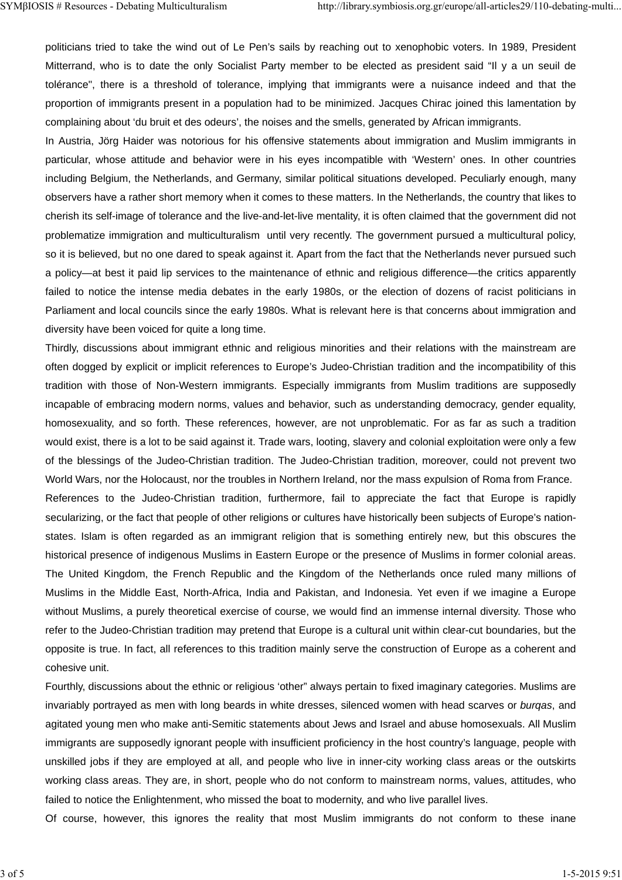politicians tried to take the wind out of Le Pen's sails by reaching out to xenophobic voters. In 1989, President Mitterrand, who is to date the only Socialist Party member to be elected as president said "Il y a un seuil de tolérance", there is a threshold of tolerance, implying that immigrants were a nuisance indeed and that the proportion of immigrants present in a population had to be minimized. Jacques Chirac joined this lamentation by complaining about 'du bruit et des odeurs', the noises and the smells, generated by African immigrants.

In Austria, Jörg Haider was notorious for his offensive statements about immigration and Muslim immigrants in particular, whose attitude and behavior were in his eyes incompatible with 'Western' ones. In other countries including Belgium, the Netherlands, and Germany, similar political situations developed. Peculiarly enough, many observers have a rather short memory when it comes to these matters. In the Netherlands, the country that likes to cherish its self-image of tolerance and the live-and-let-live mentality, it is often claimed that the government did not problematize immigration and multiculturalism until very recently. The government pursued a multicultural policy, so it is believed, but no one dared to speak against it. Apart from the fact that the Netherlands never pursued such a policy—at best it paid lip services to the maintenance of ethnic and religious difference—the critics apparently failed to notice the intense media debates in the early 1980s, or the election of dozens of racist politicians in Parliament and local councils since the early 1980s. What is relevant here is that concerns about immigration and diversity have been voiced for quite a long time.

Thirdly, discussions about immigrant ethnic and religious minorities and their relations with the mainstream are often dogged by explicit or implicit references to Europe's Judeo-Christian tradition and the incompatibility of this tradition with those of Non-Western immigrants. Especially immigrants from Muslim traditions are supposedly incapable of embracing modern norms, values and behavior, such as understanding democracy, gender equality, homosexuality, and so forth. These references, however, are not unproblematic. For as far as such a tradition would exist, there is a lot to be said against it. Trade wars, looting, slavery and colonial exploitation were only a few of the blessings of the Judeo-Christian tradition. The Judeo-Christian tradition, moreover, could not prevent two World Wars, nor the Holocaust, nor the troubles in Northern Ireland, nor the mass expulsion of Roma from France. References to the Judeo-Christian tradition, furthermore, fail to appreciate the fact that Europe is rapidly secularizing, or the fact that people of other religions or cultures have historically been subjects of Europe's nationstates. Islam is often regarded as an immigrant religion that is something entirely new, but this obscures the historical presence of indigenous Muslims in Eastern Europe or the presence of Muslims in former colonial areas. The United Kingdom, the French Republic and the Kingdom of the Netherlands once ruled many millions of Muslims in the Middle East, North-Africa, India and Pakistan, and Indonesia. Yet even if we imagine a Europe without Muslims, a purely theoretical exercise of course, we would find an immense internal diversity. Those who refer to the Judeo-Christian tradition may pretend that Europe is a cultural unit within clear-cut boundaries, but the opposite is true. In fact, all references to this tradition mainly serve the construction of Europe as a coherent and cohesive unit.

Fourthly, discussions about the ethnic or religious 'other" always pertain to fixed imaginary categories. Muslims are invariably portrayed as men with long beards in white dresses, silenced women with head scarves or *burqas*, and agitated young men who make anti-Semitic statements about Jews and Israel and abuse homosexuals. All Muslim immigrants are supposedly ignorant people with insufficient proficiency in the host country's language, people with unskilled jobs if they are employed at all, and people who live in inner-city working class areas or the outskirts working class areas. They are, in short, people who do not conform to mainstream norms, values, attitudes, who failed to notice the Enlightenment, who missed the boat to modernity, and who live parallel lives.

Of course, however, this ignores the reality that most Muslim immigrants do not conform to these inane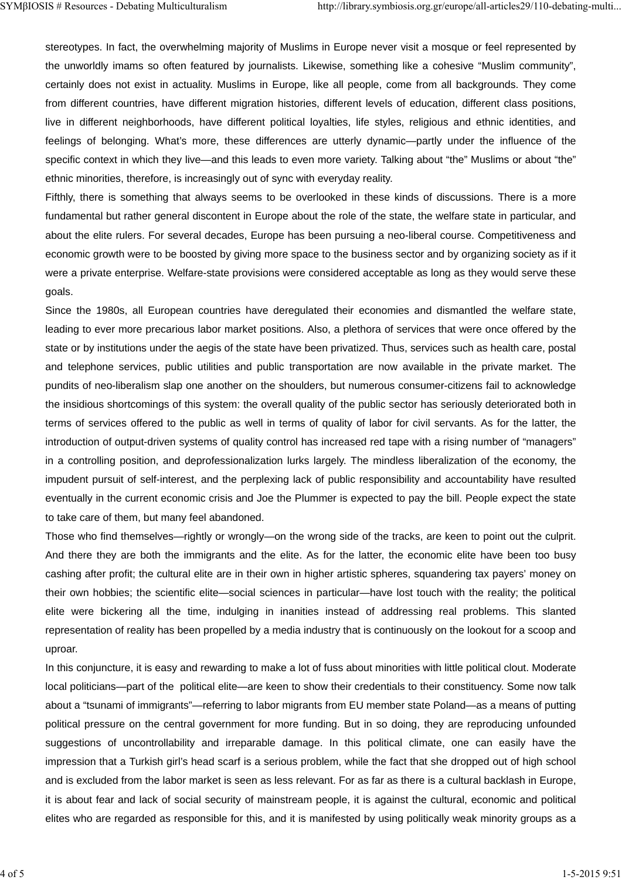stereotypes. In fact, the overwhelming majority of Muslims in Europe never visit a mosque or feel represented by the unworldly imams so often featured by journalists. Likewise, something like a cohesive "Muslim community", certainly does not exist in actuality. Muslims in Europe, like all people, come from all backgrounds. They come from different countries, have different migration histories, different levels of education, different class positions, live in different neighborhoods, have different political loyalties, life styles, religious and ethnic identities, and feelings of belonging. What's more, these differences are utterly dynamic—partly under the influence of the specific context in which they live—and this leads to even more variety. Talking about "the" Muslims or about "the" ethnic minorities, therefore, is increasingly out of sync with everyday reality.

Fifthly, there is something that always seems to be overlooked in these kinds of discussions. There is a more fundamental but rather general discontent in Europe about the role of the state, the welfare state in particular, and about the elite rulers. For several decades, Europe has been pursuing a neo-liberal course. Competitiveness and economic growth were to be boosted by giving more space to the business sector and by organizing society as if it were a private enterprise. Welfare-state provisions were considered acceptable as long as they would serve these goals.

Since the 1980s, all European countries have deregulated their economies and dismantled the welfare state, leading to ever more precarious labor market positions. Also, a plethora of services that were once offered by the state or by institutions under the aegis of the state have been privatized. Thus, services such as health care, postal and telephone services, public utilities and public transportation are now available in the private market. The pundits of neo-liberalism slap one another on the shoulders, but numerous consumer-citizens fail to acknowledge the insidious shortcomings of this system: the overall quality of the public sector has seriously deteriorated both in terms of services offered to the public as well in terms of quality of labor for civil servants. As for the latter, the introduction of output-driven systems of quality control has increased red tape with a rising number of "managers" in a controlling position, and deprofessionalization lurks largely. The mindless liberalization of the economy, the impudent pursuit of self-interest, and the perplexing lack of public responsibility and accountability have resulted eventually in the current economic crisis and Joe the Plummer is expected to pay the bill. People expect the state to take care of them, but many feel abandoned.

Those who find themselves—rightly or wrongly—on the wrong side of the tracks, are keen to point out the culprit. And there they are both the immigrants and the elite. As for the latter, the economic elite have been too busy cashing after profit; the cultural elite are in their own in higher artistic spheres, squandering tax payers' money on their own hobbies; the scientific elite—social sciences in particular—have lost touch with the reality; the political elite were bickering all the time, indulging in inanities instead of addressing real problems. This slanted representation of reality has been propelled by a media industry that is continuously on the lookout for a scoop and uproar.

In this conjuncture, it is easy and rewarding to make a lot of fuss about minorities with little political clout. Moderate local politicians—part of the political elite—are keen to show their credentials to their constituency. Some now talk about a "tsunami of immigrants"—referring to labor migrants from EU member state Poland—as a means of putting political pressure on the central government for more funding. But in so doing, they are reproducing unfounded suggestions of uncontrollability and irreparable damage. In this political climate, one can easily have the impression that a Turkish girl's head scarf is a serious problem, while the fact that she dropped out of high school and is excluded from the labor market is seen as less relevant. For as far as there is a cultural backlash in Europe, it is about fear and lack of social security of mainstream people, it is against the cultural, economic and political elites who are regarded as responsible for this, and it is manifested by using politically weak minority groups as a